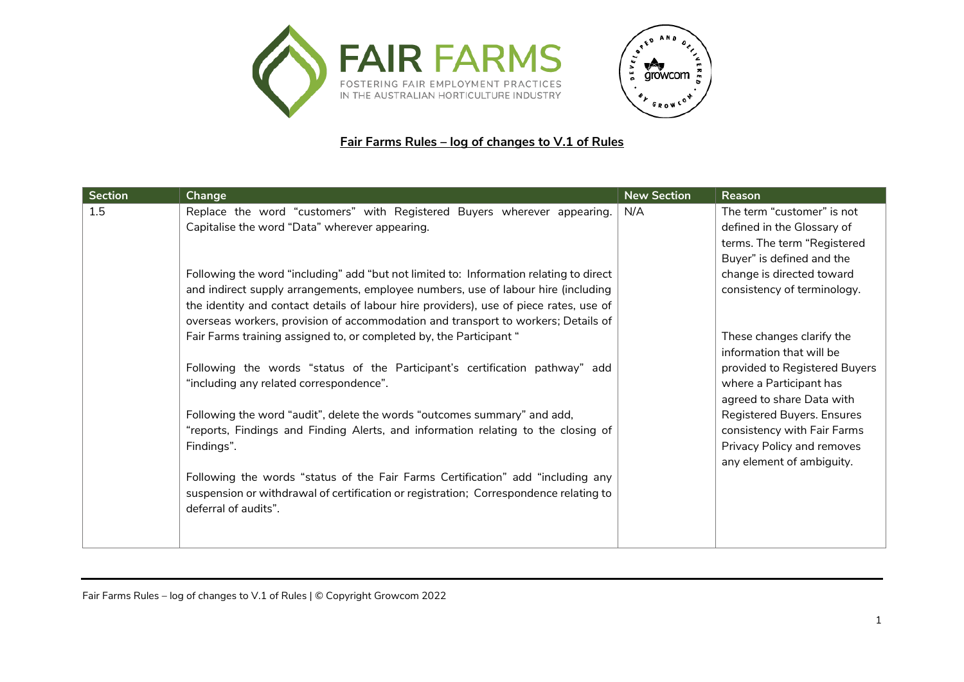



## **Fair Farms Rules – log of changes to V.1 of Rules**

| <b>Section</b> | Change                                                                                 | <b>New Section</b> | Reason                        |
|----------------|----------------------------------------------------------------------------------------|--------------------|-------------------------------|
| 1.5            | Replace the word "customers" with Registered Buyers wherever appearing.                | N/A                | The term "customer" is not    |
|                | Capitalise the word "Data" wherever appearing.                                         |                    | defined in the Glossary of    |
|                |                                                                                        |                    | terms. The term "Registered   |
|                |                                                                                        |                    | Buyer" is defined and the     |
|                | Following the word "including" add "but not limited to: Information relating to direct |                    | change is directed toward     |
|                | and indirect supply arrangements, employee numbers, use of labour hire (including      |                    | consistency of terminology.   |
|                | the identity and contact details of labour hire providers), use of piece rates, use of |                    |                               |
|                | overseas workers, provision of accommodation and transport to workers; Details of      |                    |                               |
|                | Fair Farms training assigned to, or completed by, the Participant "                    |                    | These changes clarify the     |
|                |                                                                                        |                    | information that will be      |
|                | Following the words "status of the Participant's certification pathway" add            |                    | provided to Registered Buyers |
|                | "including any related correspondence".                                                |                    | where a Participant has       |
|                |                                                                                        |                    | agreed to share Data with     |
|                | Following the word "audit", delete the words "outcomes summary" and add,               |                    | Registered Buyers. Ensures    |
|                | "reports, Findings and Finding Alerts, and information relating to the closing of      |                    | consistency with Fair Farms   |
|                | Findings".                                                                             |                    | Privacy Policy and removes    |
|                |                                                                                        |                    | any element of ambiguity.     |
|                | Following the words "status of the Fair Farms Certification" add "including any        |                    |                               |
|                | suspension or withdrawal of certification or registration; Correspondence relating to  |                    |                               |
|                | deferral of audits".                                                                   |                    |                               |
|                |                                                                                        |                    |                               |
|                |                                                                                        |                    |                               |

Fair Farms Rules – log of changes to V.1 of Rules | © Copyright Growcom 2022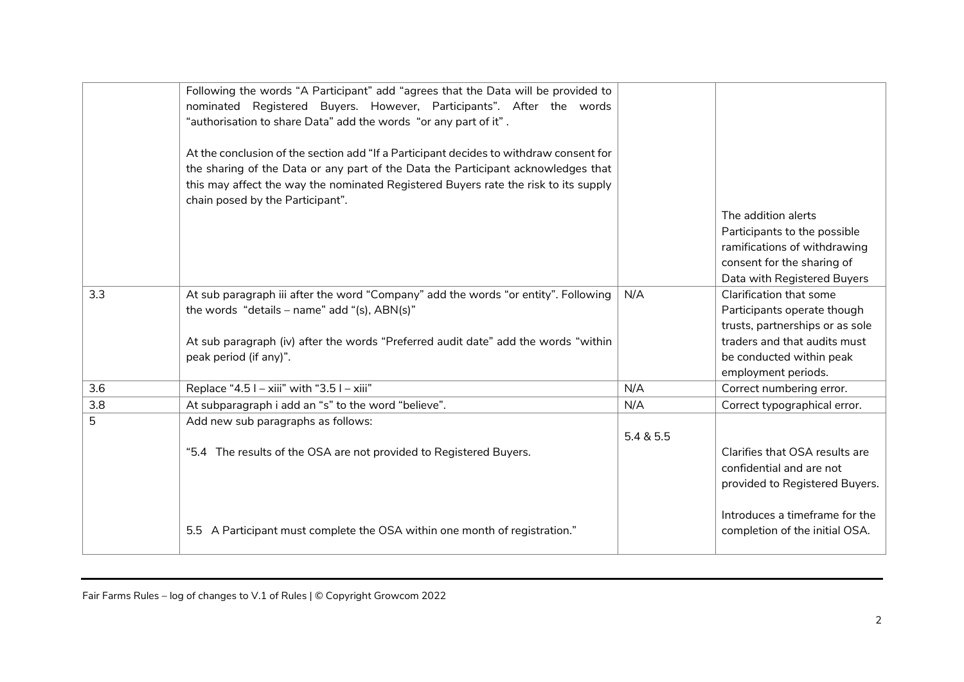|     | Following the words "A Participant" add "agrees that the Data will be provided to<br>nominated Registered Buyers. However, Participants". After the words<br>"authorisation to share Data" add the words "or any part of it".<br>At the conclusion of the section add "If a Participant decides to withdraw consent for<br>the sharing of the Data or any part of the Data the Participant acknowledges that<br>this may affect the way the nominated Registered Buyers rate the risk to its supply<br>chain posed by the Participant". |           |                                                                                                                                                                              |
|-----|-----------------------------------------------------------------------------------------------------------------------------------------------------------------------------------------------------------------------------------------------------------------------------------------------------------------------------------------------------------------------------------------------------------------------------------------------------------------------------------------------------------------------------------------|-----------|------------------------------------------------------------------------------------------------------------------------------------------------------------------------------|
|     |                                                                                                                                                                                                                                                                                                                                                                                                                                                                                                                                         |           | The addition alerts<br>Participants to the possible<br>ramifications of withdrawing<br>consent for the sharing of<br>Data with Registered Buyers                             |
| 3.3 | At sub paragraph iii after the word "Company" add the words "or entity". Following<br>the words "details - name" add "(s), $ABN(s)$ "<br>At sub paragraph (iv) after the words "Preferred audit date" add the words "within<br>peak period (if any)".                                                                                                                                                                                                                                                                                   | N/A       | Clarification that some<br>Participants operate though<br>trusts, partnerships or as sole<br>traders and that audits must<br>be conducted within peak<br>employment periods. |
| 3.6 | Replace "4.5 $I - xiii$ " with "3.5 $I - xiii$ "                                                                                                                                                                                                                                                                                                                                                                                                                                                                                        | N/A       | Correct numbering error.                                                                                                                                                     |
| 3.8 | At subparagraph i add an "s" to the word "believe".                                                                                                                                                                                                                                                                                                                                                                                                                                                                                     | N/A       | Correct typographical error.                                                                                                                                                 |
| 5   | Add new sub paragraphs as follows:<br>"5.4 The results of the OSA are not provided to Registered Buyers.                                                                                                                                                                                                                                                                                                                                                                                                                                | 5.4 & 5.5 | Clarifies that OSA results are<br>confidential and are not<br>provided to Registered Buyers.                                                                                 |
|     | 5.5 A Participant must complete the OSA within one month of registration."                                                                                                                                                                                                                                                                                                                                                                                                                                                              |           | Introduces a timeframe for the<br>completion of the initial OSA.                                                                                                             |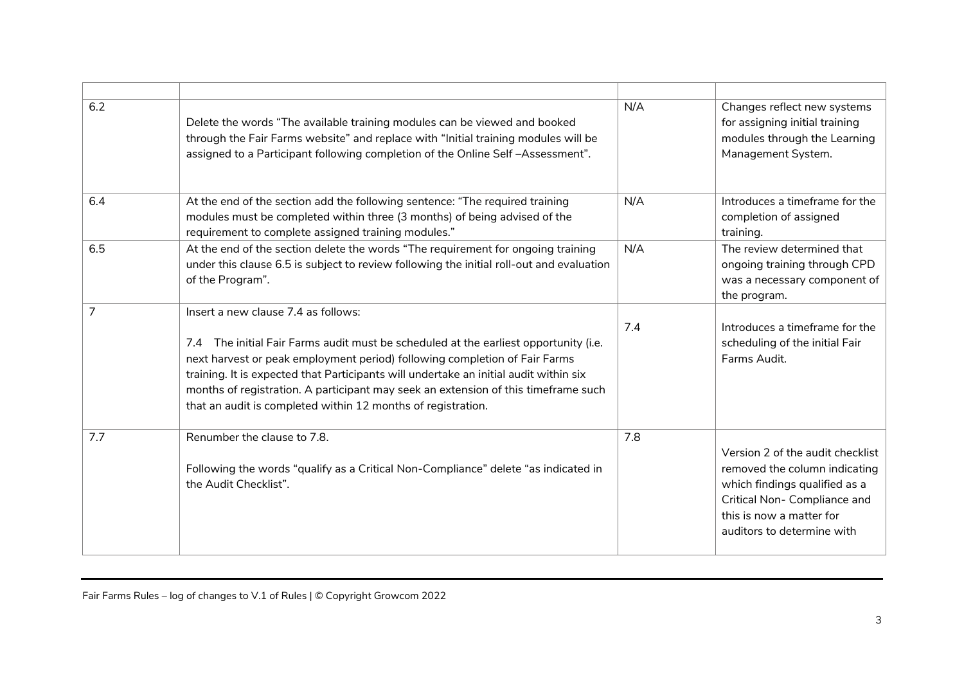| 6.2 | Delete the words "The available training modules can be viewed and booked<br>through the Fair Farms website" and replace with "Initial training modules will be<br>assigned to a Participant following completion of the Online Self-Assessment".                                                                                                                                                                                                        | N/A | Changes reflect new systems<br>for assigning initial training<br>modules through the Learning<br>Management System.                                                                          |
|-----|----------------------------------------------------------------------------------------------------------------------------------------------------------------------------------------------------------------------------------------------------------------------------------------------------------------------------------------------------------------------------------------------------------------------------------------------------------|-----|----------------------------------------------------------------------------------------------------------------------------------------------------------------------------------------------|
| 6.4 | At the end of the section add the following sentence: "The required training<br>modules must be completed within three (3 months) of being advised of the<br>requirement to complete assigned training modules."                                                                                                                                                                                                                                         | N/A | Introduces a timeframe for the<br>completion of assigned<br>training.                                                                                                                        |
| 6.5 | At the end of the section delete the words "The requirement for ongoing training<br>under this clause 6.5 is subject to review following the initial roll-out and evaluation<br>of the Program".                                                                                                                                                                                                                                                         | N/A | The review determined that<br>ongoing training through CPD<br>was a necessary component of<br>the program.                                                                                   |
| 7   | Insert a new clause 7.4 as follows:<br>7.4 The initial Fair Farms audit must be scheduled at the earliest opportunity (i.e.<br>next harvest or peak employment period) following completion of Fair Farms<br>training. It is expected that Participants will undertake an initial audit within six<br>months of registration. A participant may seek an extension of this timeframe such<br>that an audit is completed within 12 months of registration. | 7.4 | Introduces a timeframe for the<br>scheduling of the initial Fair<br>Farms Audit.                                                                                                             |
| 7.7 | Renumber the clause to 7.8.<br>Following the words "qualify as a Critical Non-Compliance" delete "as indicated in<br>the Audit Checklist".                                                                                                                                                                                                                                                                                                               | 7.8 | Version 2 of the audit checklist<br>removed the column indicating<br>which findings qualified as a<br>Critical Non- Compliance and<br>this is now a matter for<br>auditors to determine with |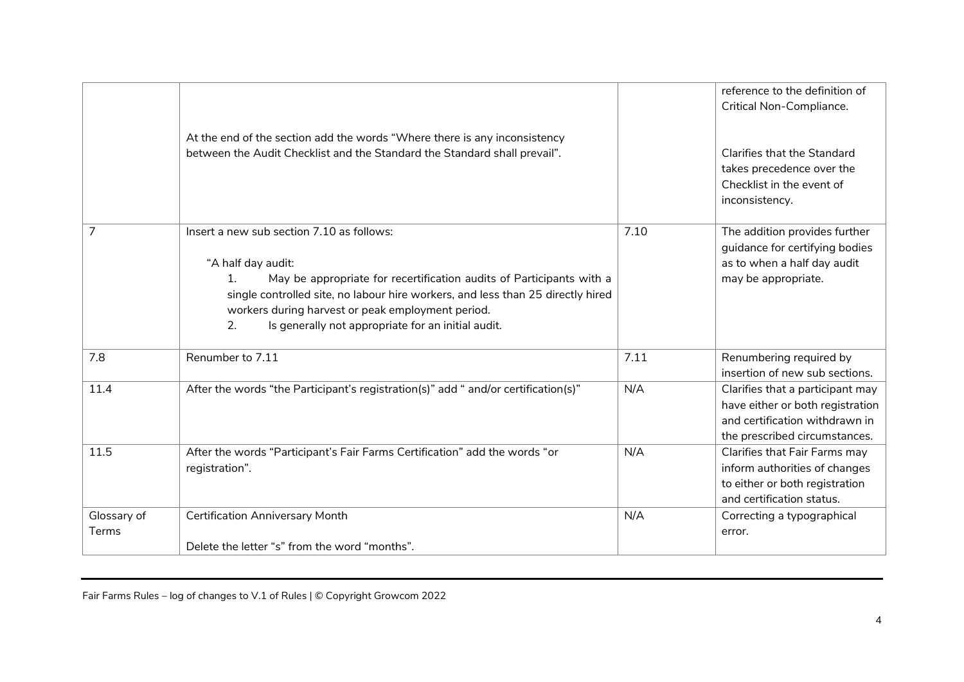|                | At the end of the section add the words "Where there is any inconsistency<br>between the Audit Checklist and the Standard the Standard shall prevail".                                                                                                                                                                                                        |      | reference to the definition of<br>Critical Non-Compliance.<br><b>Clarifies that the Standard</b><br>takes precedence over the<br>Checklist in the event of<br>inconsistency. |
|----------------|---------------------------------------------------------------------------------------------------------------------------------------------------------------------------------------------------------------------------------------------------------------------------------------------------------------------------------------------------------------|------|------------------------------------------------------------------------------------------------------------------------------------------------------------------------------|
| $\overline{7}$ | Insert a new sub section 7.10 as follows:<br>"A half day audit:<br>May be appropriate for recertification audits of Participants with a<br>$\mathbf{1}$ .<br>single controlled site, no labour hire workers, and less than 25 directly hired<br>workers during harvest or peak employment period.<br>2.<br>Is generally not appropriate for an initial audit. | 7.10 | The addition provides further<br>guidance for certifying bodies<br>as to when a half day audit<br>may be appropriate.                                                        |
| 7.8            | Renumber to 7.11                                                                                                                                                                                                                                                                                                                                              | 7.11 | Renumbering required by<br>insertion of new sub sections.                                                                                                                    |
| 11.4           | After the words "the Participant's registration(s)" add " and/or certification(s)"                                                                                                                                                                                                                                                                            | N/A  | Clarifies that a participant may<br>have either or both registration<br>and certification withdrawn in<br>the prescribed circumstances.                                      |
| 11.5           | After the words "Participant's Fair Farms Certification" add the words "or<br>registration".                                                                                                                                                                                                                                                                  | N/A  | Clarifies that Fair Farms may<br>inform authorities of changes<br>to either or both registration<br>and certification status.                                                |
| Glossary of    | <b>Certification Anniversary Month</b>                                                                                                                                                                                                                                                                                                                        | N/A  | Correcting a typographical                                                                                                                                                   |
| Terms          | Delete the letter "s" from the word "months".                                                                                                                                                                                                                                                                                                                 |      | error.                                                                                                                                                                       |

Fair Farms Rules – log of changes to V.1 of Rules | © Copyright Growcom 2022